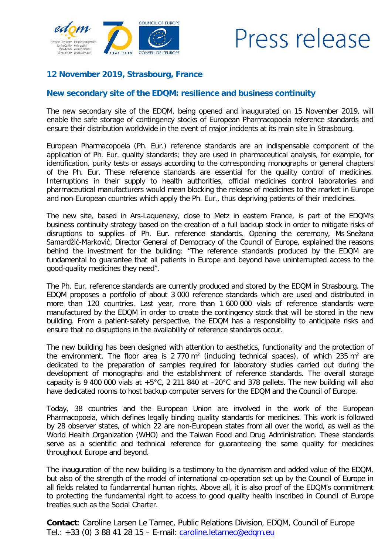

## Press release

## **12 November 2019, Strasbourg, France**

## **New secondary site of the EDQM: resilience and business continuity**

The new secondary site of the EDQM, being opened and inaugurated on 15 November 2019, will enable the safe storage of contingency stocks of European Pharmacopoeia reference standards and ensure their distribution worldwide in the event of major incidents at its main site in Strasbourg.

European Pharmacopoeia (Ph. Eur.) reference standards are an indispensable component of the application of Ph. Eur. quality standards; they are used in pharmaceutical analysis, for example, for identification, purity tests or assays according to the corresponding monographs or general chapters of the Ph. Eur. These reference standards are essential for the quality control of medicines. Interruptions in their supply to health authorities, official medicines control laboratories and pharmaceutical manufacturers would mean blocking the release of medicines to the market in Europe and non-European countries which apply the Ph. Eur., thus depriving patients of their medicines.

The new site, based in Ars-Laquenexy, close to Metz in eastern France, is part of the EDQM's business continuity strategy based on the creation of a full backup stock in order to mitigate risks of disruptions to supplies of Ph. Eur. reference standards. Opening the ceremony, Ms Snežana Samardžić-Marković, Director General of Democracy of the Council of Europe, explained the reasons behind the investment for the building: "The reference standards produced by the EDQM are fundamental to guarantee that all patients in Europe and beyond have uninterrupted access to the good-quality medicines they need".

The Ph. Eur. reference standards are currently produced and stored by the EDQM in Strasbourg. The EDQM proposes a portfolio of about 3 000 reference standards which are used and distributed in more than 120 countries. Last year, more than 1 600 000 vials of reference standards were manufactured by the EDQM in order to create the contingency stock that will be stored in the new building. From a patient-safety perspective, the EDQM has a responsibility to anticipate risks and ensure that no disruptions in the availability of reference standards occur.

The new building has been designed with attention to aesthetics, functionality and the protection of the environment. The floor area is  $2\,770 \text{ m}^2$  (including technical spaces), of which  $235 \text{ m}^2$  are dedicated to the preparation of samples required for laboratory studies carried out during the development of monographs and the establishment of reference standards. The overall storage capacity is 9 400 000 vials at  $+5^{\circ}$ C, 2 211 840 at  $-20^{\circ}$ C and 378 pallets. The new building will also have dedicated rooms to host backup computer servers for the EDQM and the Council of Europe.

Today, 38 countries and the European Union are involved in the work of the European Pharmacopoeia, which defines legally binding quality standards for medicines. This work is followed by 28 observer states, of which 22 are non-European states from all over the world, as well as the World Health Organization (WHO) and the Taiwan Food and Drug Administration. These standards serve as a scientific and technical reference for guaranteeing the same quality for medicines throughout Europe and beyond.

The inauguration of the new building is a testimony to the dynamism and added value of the EDQM, but also of the strength of the model of international co-operation set up by the Council of Europe in all fields related to fundamental human rights. Above all, it is also proof of the EDQM's commitment to protecting the fundamental right to access to good quality health inscribed in Council of Europe treaties such as the Social Charter.

**Contact**: Caroline Larsen Le Tarnec, Public Relations Division, EDQM, Council of Europe Tel.: +33 (0) 3 88 41 28 15 – E-mail: [caroline.letarnec@edqm.eu](mailto:caroline.letarnec@edqm.eu)